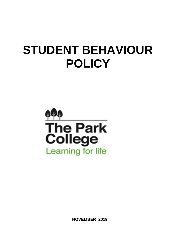# **STUDENT BEHAVIOUR POLICY**



**NOVEMBER 2019**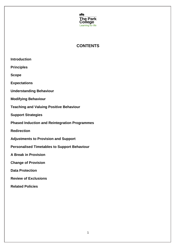

# **CONTENTS**

| <b>Introduction</b>                                  |
|------------------------------------------------------|
| <b>Principles</b>                                    |
| <b>Scope</b>                                         |
| <b>Expectations</b>                                  |
| <b>Understanding Behaviour</b>                       |
| <b>Modifying Behaviour</b>                           |
| <b>Teaching and Valuing Positive Behaviour</b>       |
| <b>Support Strategies</b>                            |
| <b>Phased Induction and Reintegration Programmes</b> |
| <b>Redirection</b>                                   |
| <b>Adjustments to Provision and Support</b>          |
| <b>Personalised Timetables to Support Behaviour</b>  |
| <b>A Break in Provision</b>                          |
| <b>Change of Provision</b>                           |
| <b>Data Protection</b>                               |
| <b>Review of Exclusions</b>                          |
| <b>Related Policies</b>                              |
|                                                      |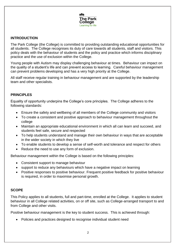

#### **INTRODUCTION**

The Park College (the College) is committed to providing outstanding educational opportunities for all students. The College recognises its duty of care towards all students, staff and visitors. This policy deals with the behaviour of students and the policy and practice which informs disciplinary practice and the use of exclusion within the College.

Young people with Autism may display challenging behaviour at times. Behaviour can impact on the quality of a student's life and can prevent access to learning. Careful behaviour management can prevent problems developing and has a very high priority at the College.

All staff receive regular training in behaviour management and are supported by the leadership team and other specialists.

#### **PRINCIPLES**

Equality of opportunity underpins the College's core principles. The College adheres to the following standards:

- Ensure the safety and wellbeing of all members of the College community and visitors
- To create a consistent and positive approach to behaviour management throughout the college
- Maintain an appropriate educational environment in which all can learn and succeed, and students feel safe, secure and respected
- To help students understand and manage their own behaviour in ways that are acceptable in the wider society in which they live
- To enable students to develop a sense of self-worth and tolerance and respect for others
- Reduce the need to use any form of exclusion.

Behaviour management within the College is based on the following principles:

- Consistent support to manage behaviour
- support to reduce any behaviours which have a negative impact on learning
- Positive responses to positive behaviour. Frequent positive feedback for positive behaviour is required, in order to maximise personal growth.

# **SCOPE**

This Policy applies to all students, full and part-time, enrolled at the College. It applies to student behaviour in all College related activities, on or off site, such as College-arranged transport to and from College and other visits.

Positive behaviour management is the key to student success. This is achieved through:

Policies and practices designed to recognise individual student need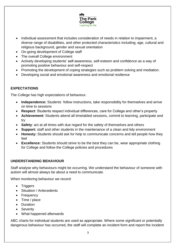

- Individual assessment that includes consideration of needs in relation to impairment, a diverse range of disabilities, and other protected characteristics including; age, cultural and religious background, gender and sexual orientation
- On-going development of College staff
- The overall College environment
- Actively developing students' self-awareness, self-esteem and confidence as a way of promoting positive behaviour and self-respect
- Promoting the development of coping strategies such as problem solving and mediation.
- Developing social and emotional awareness and emotional resilience

# **EXPECTATIONS**

The College has high expectations of behaviour.

- **Independence:** Students follow instructions, take responsibility for themselves and arrive on time to sessions
- **Respect**: Students respect individual differences, care for College and other's property
- **Achievement**: Students attend all timetabled sessions, commit to learning, participate and try
- **Safety**: act at all times with due regard for the safety of themselves and others
- **Support:** staff and other students in the maintenance of a clean and tidy environment
- **Honesty:** Students should ask for help to communicate concerns and tell people how they feel
- **Excellence:** Students should strive to be the best they can be, wear appropriate clothing for College and follow the College policies and procedures

#### **UNDERSTANDING BEHAVIOUR**

Staff analyse why behaviours might be occurring. We understand the behaviour of someone with autism will almost always be about a need to communicate.

When monitoring behaviour we record:

- Triggers
- Situation / Antecedents
- Frequency
- Time / place
- Duration
- **•** Severity
- What happened afterwards

ABC charts for individual students are used as appropriate. Where some significant or potentially dangerous behaviour has occurred, the staff will complete an incident form and report the incident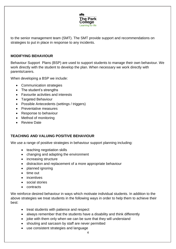

to the senior management team (SMT). The SMT provide support and recommendations on strategies to put in place in response to any incidents.

#### **MODIFYING BEHAVIOUR**

Behaviour Support Plans (BSP) are used to support students to manage their own behaviour. We work directly with the student to develop the plan. When necessary we work directly with parents/carers.

When developing a BSP we include:

- Communication strategies
- The student's strengths
- Favourite activities and interests
- Targeted Behaviour
- Possible Antecedents (settings / triggers)
- Preventative measures
- Response to behaviour
- Method of monitoring
- Review Date

# **TEACHING AND VALUING POSITIVE BEHAVIOUR**

We use a range of positive strategies in behaviour support planning including:

- teaching negotiation skills
- changing and adapting the environment
- increasing structure
- distraction and replacement of a more appropriate behaviour
- planned ignoring
- time out
- **·** incentives
- social stories
- contracts

We reinforce desired behaviour in ways which motivate individual students. In addition to the above strategies we treat students in the following ways in order to help them to achieve their best:

- treat students with patience and respect
- always remember that the students have a disability and think differently
- joke with them only when we can be sure that they will understand
- shouting and sarcasm by staff are never permitted
- use consistent strategies and language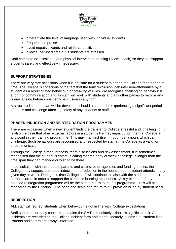

- differentiate the level of language used with individual students
- frequent use praise
- avoid negative words and reinforce positives
- allow supervised time out if students are stressed

Staff complete de-escalation and physical intervention training (Team Teach) so they can support students safely and effectively if necessary.

# **SUPPORT STRATEGIES**

There are very rare occasions when it is not safe for a student to attend the College for a period of time. The College is conscious of the fact that the term 'exclusion' can infer non-attendance by a student as a result of 'bad behaviour' or breaking of rules. We recognise challenging behaviour is a form of communication and as such will work with students and any other parties to resolve any issues arising before considering exclusion in any form.

A structured support plan will be developed should a student be experiencing a significant period of stress and challenge affecting safety of any students or staff.

# **PHASED INDUCTION AND REINTEGRATION PROGRAMMES**

There are occasions when a new student finds the transfer to College stressful and challenging. It is also the case that other external factors in a student's life may impact upon them at College at any point in their training programme. This may manifest itself through behaviours which can challenge. Such behaviours are recognised and respected by staff at the College as a valid form of communication.

Through the College tutorial process, team discussions and risk assessment, it is sometimes recognised that the student is communicating that their day or week at college is longer than the time span they can manage or wish to be there.

In consultation with the student, parents and carers, other agencies and funding bodies, the College may suggest a phased induction or a reduction in the hours that the student attends in any given day or week. During this time College staff will continue to liaise with the student and their parents/carers in order to support the student's learning experience. A key element of any planned reintegration programme will be the aim to return to the full programme. This will be monitored by the Principal. The pace and scale of a return to full provision is led by student need.

#### **REDIRECTION**

ALL staff will redirect students when behaviour is not in line with College expectations.

Staff should record any concerns and alert the SMT immediately if there is significant risk. All incidents are recorded on the College incident form and stored securely in individual student files. Parents and carers are always informed.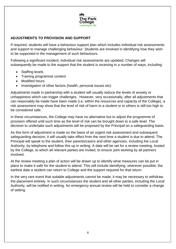

# **ADJUSTMENTS TO PROVISION AND SUPPORT**

If required, students will have a behaviour support plan which includes individual risk assessments and support to manage challenging behaviour. Students are involved in identifying how they wish to be supported in the management of such behaviours.

Following a significant incident, individual risk assessments are updated. Changes will subsequently be made to the support that the student is receiving in a number of ways, including:

- Staffing levels
- Training programme content
- Modified hours
- Investigation of other factors (health, personal issues etc)

Adjustments made in partnership with a student will usually reduce the levels of anxiety or unhappiness which can trigger challenges. However, very occasionally, after all adjustments that can reasonably be made have been made (i.e. within the resources and capacity of the College), a risk assessment may show that the level of risk of harm to a student or to others is still too high to be considered safe.

In these circumstances, the College may have no alternative but to adjust the programme of provision offered until such time as the level of risk can be brought down to a safe level. The decision to undertake such adjustments will be proposed by the Principal on a safeguarding basis.

As this form of adjustment is made on the basis of an urgent risk assessment and subsequent safeguarding decision, it will usually take effect from the next time a student is due to attend. The Principal will speak to the student, their parents/carers and other agencies, including the Local Authority, by telephone and follow this up in writing. A date will be set for a review meeting, hosted by the College, to which all relevant parties are invited, to ensure joint working by all partners involved.

At the review meeting a plan of action will be drawn up to identify what measures can be put in place to make it safe for the student to attend. This will include identifying, wherever possible, the earliest date a student can return to College and the support required for that return.

In the very rare event that suitable adjustments cannot be made, it may be necessary to withdraw the placement entirely. In such circumstances the student and all other parties, including the Local Authority, will be notified in writing. An emergency annual review will be held to consider a change of setting.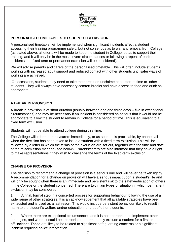

# **PERSONALISED TIMETABLES TO SUPPORT BEHAVIOUR**

A personalised timetable will be implemented when significant incidents affect a student accessing their training programme safely, but not so serious as to warrant removal from College (as stated above, all efforts will be made to keep the student in College, so as to support their training, and it will only be in the most severe circumstances or following a repeat of earlier incidents that fixed term or permanent exclusion will be considered).

We will advise parents and carers of the personalised timetable. This will often include students working with increased adult support and reduced contact with other students until safer ways of working are achieved.

On occasions, students may need to take their break or lunchtime at a different time to other students. They will always have necessary comfort breaks and have access to food and drink as appropriate.

#### **A BREAK IN PROVISION**

A break in provision is of short duration (usually between one and three days – five in exceptional circumstances) and may be necessary if an incident is considered so serious that it would not be appropriate to allow the student to remain in College for a period of time. This is equivalent to a fixed term exclusion.

Students will not be able to attend college during this time.

The College will inform parents/carers immediately, or as soon as is practicable, by phone call when the decision has been taken to issue a student with a fixed term exclusion. This will be followed by a letter in which the terms of the exclusion are set out, together with the time and date of the re-admission meeting (see below). Parents/carers are also informed that they have a right to make representations if they wish to challenge the terms of the fixed-term exclusion.

# **CHANGE OF PROVISION**

The decision to recommend a change of provision is a serious one and will never be taken lightly. A recommendation for a change on provision will have a serious impact upon a student's life and will only be sought when there is an immediate and persistent risk to the safety/education of others in the College or the student concerned There are two main types of situation in which permanent exclusion may be considered:

1 A final, formal step in a concerted process for supporting behaviour following the use of a wide range of other strategies. It is an acknowledgement that all available strategies have been exhausted and is used as a last resort. This would include persistent behaviour likely to result in harm to the student's welfare and/or education, or that of other students.

2. Where there are exceptional circumstances and it is not appropriate to implement other strategies, and where it could be appropriate to permanently exclude a student for a first or 'one off' incident. These are likely to be related to significant safeguarding concerns or a significant incident requiring police intervention.